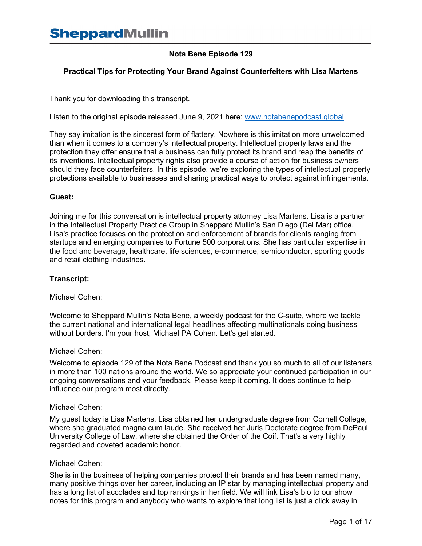# **Nota Bene Episode 129**

# **Practical Tips for Protecting Your Brand Against Counterfeiters with Lisa Martens**

Thank you for downloading this transcript.

Listen to the original episode released June 9, 2021 here: [www.notabenepodcast.global](http://www.notabenepodcast.global/)

They say imitation is the sincerest form of flattery. Nowhere is this imitation more unwelcomed than when it comes to a company's intellectual property. Intellectual property laws and the protection they offer ensure that a business can fully protect its brand and reap the benefits of its inventions. Intellectual property rights also provide a course of action for business owners should they face counterfeiters. In this episode, we're exploring the types of intellectual property protections available to businesses and sharing practical ways to protect against infringements.

# **Guest:**

Joining me for this conversation is intellectual property attorney Lisa Martens. Lisa is a partner in the Intellectual Property Practice Group in Sheppard Mullin's San Diego (Del Mar) office. Lisa's practice focuses on the protection and enforcement of brands for clients ranging from startups and emerging companies to Fortune 500 corporations. She has particular expertise in the food and beverage, healthcare, life sciences, e-commerce, semiconductor, sporting goods and retail clothing industries.

# **Transcript:**

Michael Cohen:

Welcome to Sheppard Mullin's Nota Bene, a weekly podcast for the C-suite, where we tackle the current national and international legal headlines affecting multinationals doing business without borders. I'm your host, Michael PA Cohen. Let's get started.

#### Michael Cohen:

Welcome to episode 129 of the Nota Bene Podcast and thank you so much to all of our listeners in more than 100 nations around the world. We so appreciate your continued participation in our ongoing conversations and your feedback. Please keep it coming. It does continue to help influence our program most directly.

# Michael Cohen:

My guest today is Lisa Martens. Lisa obtained her undergraduate degree from Cornell College, where she graduated magna cum laude. She received her Juris Doctorate degree from DePaul University College of Law, where she obtained the Order of the Coif. That's a very highly regarded and coveted academic honor.

# Michael Cohen:

She is in the business of helping companies protect their brands and has been named many, many positive things over her career, including an IP star by managing intellectual property and has a long list of accolades and top rankings in her field. We will link Lisa's bio to our show notes for this program and anybody who wants to explore that long list is just a click away in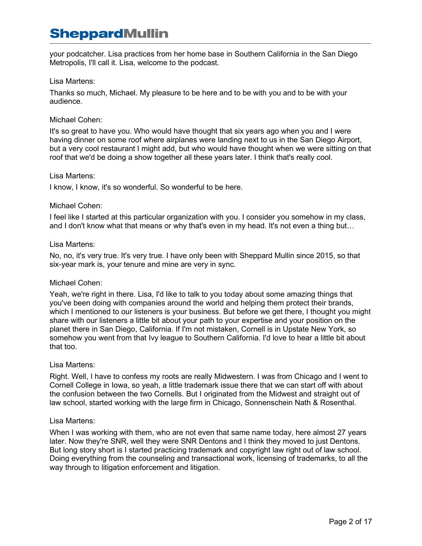your podcatcher. Lisa practices from her home base in Southern California in the San Diego Metropolis, I'll call it. Lisa, welcome to the podcast.

# Lisa Martens:

Thanks so much, Michael. My pleasure to be here and to be with you and to be with your audience.

# Michael Cohen:

It's so great to have you. Who would have thought that six years ago when you and I were having dinner on some roof where airplanes were landing next to us in the San Diego Airport, but a very cool restaurant I might add, but who would have thought when we were sitting on that roof that we'd be doing a show together all these years later. I think that's really cool.

# Lisa Martens:

I know, I know, it's so wonderful. So wonderful to be here.

# Michael Cohen:

I feel like I started at this particular organization with you. I consider you somehow in my class, and I don't know what that means or why that's even in my head. It's not even a thing but…

# Lisa Martens:

No, no, it's very true. It's very true. I have only been with Sheppard Mullin since 2015, so that six-year mark is, your tenure and mine are very in sync.

# Michael Cohen:

Yeah, we're right in there. Lisa, I'd like to talk to you today about some amazing things that you've been doing with companies around the world and helping them protect their brands, which I mentioned to our listeners is your business. But before we get there, I thought you might share with our listeners a little bit about your path to your expertise and your position on the planet there in San Diego, California. If I'm not mistaken, Cornell is in Upstate New York, so somehow you went from that Ivy league to Southern California. I'd love to hear a little bit about that too.

# Lisa Martens:

Right. Well, I have to confess my roots are really Midwestern. I was from Chicago and I went to Cornell College in Iowa, so yeah, a little trademark issue there that we can start off with about the confusion between the two Cornells. But I originated from the Midwest and straight out of law school, started working with the large firm in Chicago, Sonnenschein Nath & Rosenthal.

# Lisa Martens:

When I was working with them, who are not even that same name today, here almost 27 years later. Now they're SNR, well they were SNR Dentons and I think they moved to just Dentons. But long story short is I started practicing trademark and copyright law right out of law school. Doing everything from the counseling and transactional work, licensing of trademarks, to all the way through to litigation enforcement and litigation.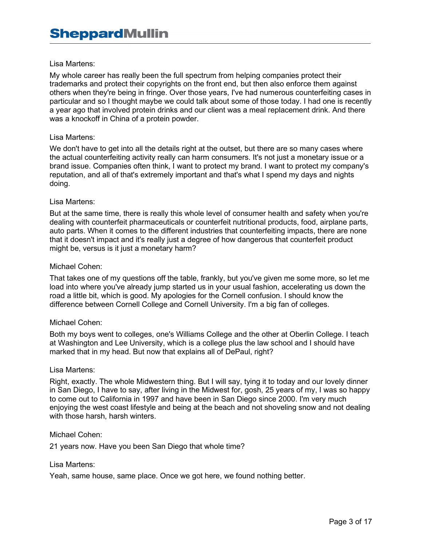My whole career has really been the full spectrum from helping companies protect their trademarks and protect their copyrights on the front end, but then also enforce them against others when they're being in fringe. Over those years, I've had numerous counterfeiting cases in particular and so I thought maybe we could talk about some of those today. I had one is recently a year ago that involved protein drinks and our client was a meal replacement drink. And there was a knockoff in China of a protein powder.

#### Lisa Martens:

We don't have to get into all the details right at the outset, but there are so many cases where the actual counterfeiting activity really can harm consumers. It's not just a monetary issue or a brand issue. Companies often think, I want to protect my brand. I want to protect my company's reputation, and all of that's extremely important and that's what I spend my days and nights doing.

#### Lisa Martens:

But at the same time, there is really this whole level of consumer health and safety when you're dealing with counterfeit pharmaceuticals or counterfeit nutritional products, food, airplane parts, auto parts. When it comes to the different industries that counterfeiting impacts, there are none that it doesn't impact and it's really just a degree of how dangerous that counterfeit product might be, versus is it just a monetary harm?

#### Michael Cohen:

That takes one of my questions off the table, frankly, but you've given me some more, so let me load into where you've already jump started us in your usual fashion, accelerating us down the road a little bit, which is good. My apologies for the Cornell confusion. I should know the difference between Cornell College and Cornell University. I'm a big fan of colleges.

#### Michael Cohen:

Both my boys went to colleges, one's Williams College and the other at Oberlin College. I teach at Washington and Lee University, which is a college plus the law school and I should have marked that in my head. But now that explains all of DePaul, right?

#### Lisa Martens:

Right, exactly. The whole Midwestern thing. But I will say, tying it to today and our lovely dinner in San Diego, I have to say, after living in the Midwest for, gosh, 25 years of my, I was so happy to come out to California in 1997 and have been in San Diego since 2000. I'm very much enjoying the west coast lifestyle and being at the beach and not shoveling snow and not dealing with those harsh, harsh winters.

#### Michael Cohen:

21 years now. Have you been San Diego that whole time?

#### Lisa Martens:

Yeah, same house, same place. Once we got here, we found nothing better.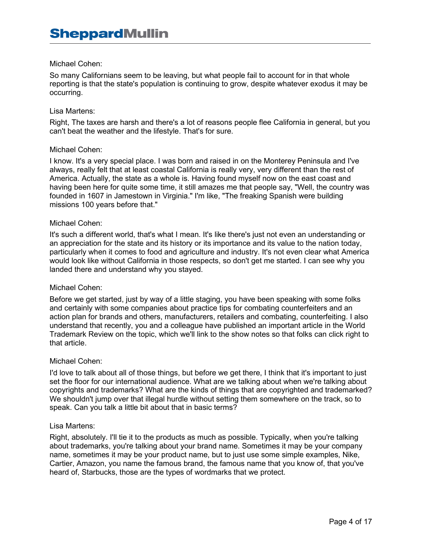# Michael Cohen:

So many Californians seem to be leaving, but what people fail to account for in that whole reporting is that the state's population is continuing to grow, despite whatever exodus it may be occurring.

#### Lisa Martens:

Right, The taxes are harsh and there's a lot of reasons people flee California in general, but you can't beat the weather and the lifestyle. That's for sure.

#### Michael Cohen:

I know. It's a very special place. I was born and raised in on the Monterey Peninsula and I've always, really felt that at least coastal California is really very, very different than the rest of America. Actually, the state as a whole is. Having found myself now on the east coast and having been here for quite some time, it still amazes me that people say, "Well, the country was founded in 1607 in Jamestown in Virginia." I'm like, "The freaking Spanish were building missions 100 years before that."

#### Michael Cohen:

It's such a different world, that's what I mean. It's like there's just not even an understanding or an appreciation for the state and its history or its importance and its value to the nation today, particularly when it comes to food and agriculture and industry. It's not even clear what America would look like without California in those respects, so don't get me started. I can see why you landed there and understand why you stayed.

#### Michael Cohen:

Before we get started, just by way of a little staging, you have been speaking with some folks and certainly with some companies about practice tips for combating counterfeiters and an action plan for brands and others, manufacturers, retailers and combating, counterfeiting. I also understand that recently, you and a colleague have published an important article in the World Trademark Review on the topic, which we'll link to the show notes so that folks can click right to that article.

#### Michael Cohen:

I'd love to talk about all of those things, but before we get there, I think that it's important to just set the floor for our international audience. What are we talking about when we're talking about copyrights and trademarks? What are the kinds of things that are copyrighted and trademarked? We shouldn't jump over that illegal hurdle without setting them somewhere on the track, so to speak. Can you talk a little bit about that in basic terms?

#### Lisa Martens:

Right, absolutely. I'll tie it to the products as much as possible. Typically, when you're talking about trademarks, you're talking about your brand name. Sometimes it may be your company name, sometimes it may be your product name, but to just use some simple examples, Nike, Cartier, Amazon, you name the famous brand, the famous name that you know of, that you've heard of, Starbucks, those are the types of wordmarks that we protect.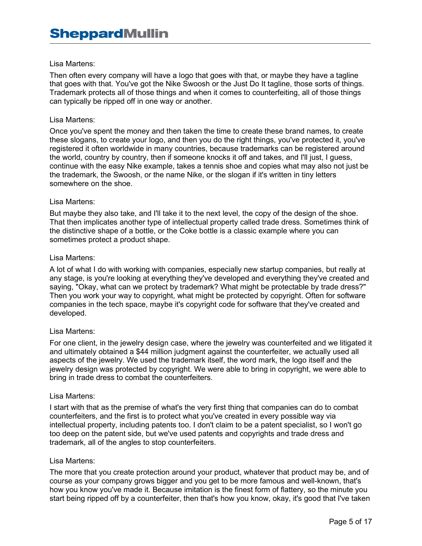Then often every company will have a logo that goes with that, or maybe they have a tagline that goes with that. You've got the Nike Swoosh or the Just Do It tagline, those sorts of things. Trademark protects all of those things and when it comes to counterfeiting, all of those things can typically be ripped off in one way or another.

#### Lisa Martens:

Once you've spent the money and then taken the time to create these brand names, to create these slogans, to create your logo, and then you do the right things, you've protected it, you've registered it often worldwide in many countries, because trademarks can be registered around the world, country by country, then if someone knocks it off and takes, and I'll just, I guess, continue with the easy Nike example, takes a tennis shoe and copies what may also not just be the trademark, the Swoosh, or the name Nike, or the slogan if it's written in tiny letters somewhere on the shoe.

#### Lisa Martens:

But maybe they also take, and I'll take it to the next level, the copy of the design of the shoe. That then implicates another type of intellectual property called trade dress. Sometimes think of the distinctive shape of a bottle, or the Coke bottle is a classic example where you can sometimes protect a product shape.

#### Lisa Martens:

A lot of what I do with working with companies, especially new startup companies, but really at any stage, is you're looking at everything they've developed and everything they've created and saying, "Okay, what can we protect by trademark? What might be protectable by trade dress?" Then you work your way to copyright, what might be protected by copyright. Often for software companies in the tech space, maybe it's copyright code for software that they've created and developed.

# Lisa Martens:

For one client, in the jewelry design case, where the jewelry was counterfeited and we litigated it and ultimately obtained a \$44 million judgment against the counterfeiter, we actually used all aspects of the jewelry. We used the trademark itself, the word mark, the logo itself and the jewelry design was protected by copyright. We were able to bring in copyright, we were able to bring in trade dress to combat the counterfeiters.

#### Lisa Martens:

I start with that as the premise of what's the very first thing that companies can do to combat counterfeiters, and the first is to protect what you've created in every possible way via intellectual property, including patents too. I don't claim to be a patent specialist, so I won't go too deep on the patent side, but we've used patents and copyrights and trade dress and trademark, all of the angles to stop counterfeiters.

#### Lisa Martens:

The more that you create protection around your product, whatever that product may be, and of course as your company grows bigger and you get to be more famous and well-known, that's how you know you've made it. Because imitation is the finest form of flattery, so the minute you start being ripped off by a counterfeiter, then that's how you know, okay, it's good that I've taken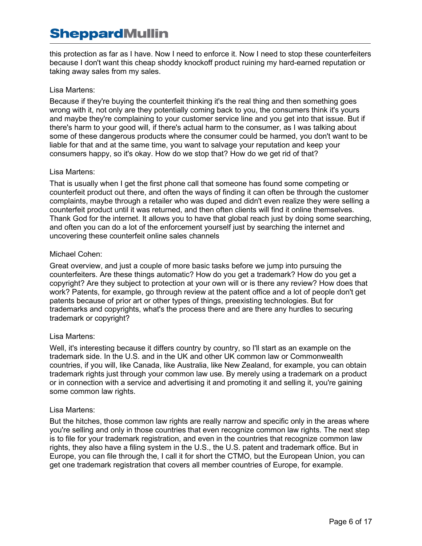this protection as far as I have. Now I need to enforce it. Now I need to stop these counterfeiters because I don't want this cheap shoddy knockoff product ruining my hard-earned reputation or taking away sales from my sales.

# Lisa Martens:

Because if they're buying the counterfeit thinking it's the real thing and then something goes wrong with it, not only are they potentially coming back to you, the consumers think it's yours and maybe they're complaining to your customer service line and you get into that issue. But if there's harm to your good will, if there's actual harm to the consumer, as I was talking about some of these dangerous products where the consumer could be harmed, you don't want to be liable for that and at the same time, you want to salvage your reputation and keep your consumers happy, so it's okay. How do we stop that? How do we get rid of that?

# Lisa Martens:

That is usually when I get the first phone call that someone has found some competing or counterfeit product out there, and often the ways of finding it can often be through the customer complaints, maybe through a retailer who was duped and didn't even realize they were selling a counterfeit product until it was returned, and then often clients will find it online themselves. Thank God for the internet. It allows you to have that global reach just by doing some searching, and often you can do a lot of the enforcement yourself just by searching the internet and uncovering these counterfeit online sales channels

# Michael Cohen:

Great overview, and just a couple of more basic tasks before we jump into pursuing the counterfeiters. Are these things automatic? How do you get a trademark? How do you get a copyright? Are they subject to protection at your own will or is there any review? How does that work? Patents, for example, go through review at the patent office and a lot of people don't get patents because of prior art or other types of things, preexisting technologies. But for trademarks and copyrights, what's the process there and are there any hurdles to securing trademark or copyright?

# Lisa Martens:

Well, it's interesting because it differs country by country, so I'll start as an example on the trademark side. In the U.S. and in the UK and other UK common law or Commonwealth countries, if you will, like Canada, like Australia, like New Zealand, for example, you can obtain trademark rights just through your common law use. By merely using a trademark on a product or in connection with a service and advertising it and promoting it and selling it, you're gaining some common law rights.

# Lisa Martens:

But the hitches, those common law rights are really narrow and specific only in the areas where you're selling and only in those countries that even recognize common law rights. The next step is to file for your trademark registration, and even in the countries that recognize common law rights, they also have a filing system in the U.S., the U.S. patent and trademark office. But in Europe, you can file through the, I call it for short the CTMO, but the European Union, you can get one trademark registration that covers all member countries of Europe, for example.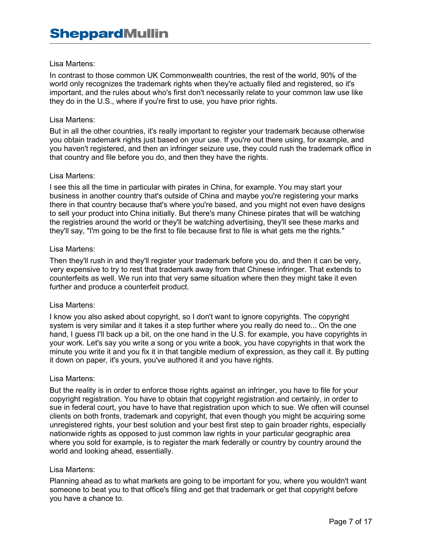In contrast to those common UK Commonwealth countries, the rest of the world, 90% of the world only recognizes the trademark rights when they're actually filed and registered, so it's important, and the rules about who's first don't necessarily relate to your common law use like they do in the U.S., where if you're first to use, you have prior rights.

#### Lisa Martens:

But in all the other countries, it's really important to register your trademark because otherwise you obtain trademark rights just based on your use. If you're out there using, for example, and you haven't registered, and then an infringer seizure use, they could rush the trademark office in that country and file before you do, and then they have the rights.

#### Lisa Martens:

I see this all the time in particular with pirates in China, for example. You may start your business in another country that's outside of China and maybe you're registering your marks there in that country because that's where you're based, and you might not even have designs to sell your product into China initially. But there's many Chinese pirates that will be watching the registries around the world or they'll be watching advertising, they'll see these marks and they'll say, "I'm going to be the first to file because first to file is what gets me the rights."

#### Lisa Martens:

Then they'll rush in and they'll register your trademark before you do, and then it can be very, very expensive to try to rest that trademark away from that Chinese infringer. That extends to counterfeits as well. We run into that very same situation where then they might take it even further and produce a counterfeit product.

#### Lisa Martens:

I know you also asked about copyright, so I don't want to ignore copyrights. The copyright system is very similar and it takes it a step further where you really do need to... On the one hand, I guess I'll back up a bit, on the one hand in the U.S. for example, you have copyrights in your work. Let's say you write a song or you write a book, you have copyrights in that work the minute you write it and you fix it in that tangible medium of expression, as they call it. By putting it down on paper, it's yours, you've authored it and you have rights.

#### Lisa Martens:

But the reality is in order to enforce those rights against an infringer, you have to file for your copyright registration. You have to obtain that copyright registration and certainly, in order to sue in federal court, you have to have that registration upon which to sue. We often will counsel clients on both fronts, trademark and copyright, that even though you might be acquiring some unregistered rights, your best solution and your best first step to gain broader rights, especially nationwide rights as opposed to just common law rights in your particular geographic area where you sold for example, is to register the mark federally or country by country around the world and looking ahead, essentially.

# Lisa Martens:

Planning ahead as to what markets are going to be important for you, where you wouldn't want someone to beat you to that office's filing and get that trademark or get that copyright before you have a chance to.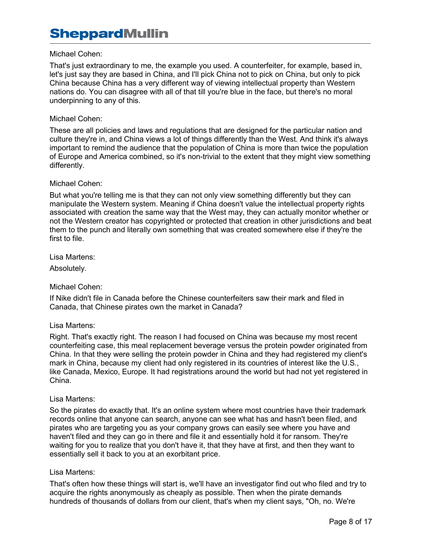# Michael Cohen:

That's just extraordinary to me, the example you used. A counterfeiter, for example, based in, let's just say they are based in China, and I'll pick China not to pick on China, but only to pick China because China has a very different way of viewing intellectual property than Western nations do. You can disagree with all of that till you're blue in the face, but there's no moral underpinning to any of this.

# Michael Cohen:

These are all policies and laws and regulations that are designed for the particular nation and culture they're in, and China views a lot of things differently than the West. And think it's always important to remind the audience that the population of China is more than twice the population of Europe and America combined, so it's non-trivial to the extent that they might view something differently.

# Michael Cohen:

But what you're telling me is that they can not only view something differently but they can manipulate the Western system. Meaning if China doesn't value the intellectual property rights associated with creation the same way that the West may, they can actually monitor whether or not the Western creator has copyrighted or protected that creation in other jurisdictions and beat them to the punch and literally own something that was created somewhere else if they're the first to file.

Lisa Martens:

Absolutely.

# Michael Cohen:

If Nike didn't file in Canada before the Chinese counterfeiters saw their mark and filed in Canada, that Chinese pirates own the market in Canada?

# Lisa Martens:

Right. That's exactly right. The reason I had focused on China was because my most recent counterfeiting case, this meal replacement beverage versus the protein powder originated from China. In that they were selling the protein powder in China and they had registered my client's mark in China, because my client had only registered in its countries of interest like the U.S., like Canada, Mexico, Europe. It had registrations around the world but had not yet registered in China.

# Lisa Martens:

So the pirates do exactly that. It's an online system where most countries have their trademark records online that anyone can search, anyone can see what has and hasn't been filed, and pirates who are targeting you as your company grows can easily see where you have and haven't filed and they can go in there and file it and essentially hold it for ransom. They're waiting for you to realize that you don't have it, that they have at first, and then they want to essentially sell it back to you at an exorbitant price.

# Lisa Martens:

That's often how these things will start is, we'll have an investigator find out who filed and try to acquire the rights anonymously as cheaply as possible. Then when the pirate demands hundreds of thousands of dollars from our client, that's when my client says, "Oh, no. We're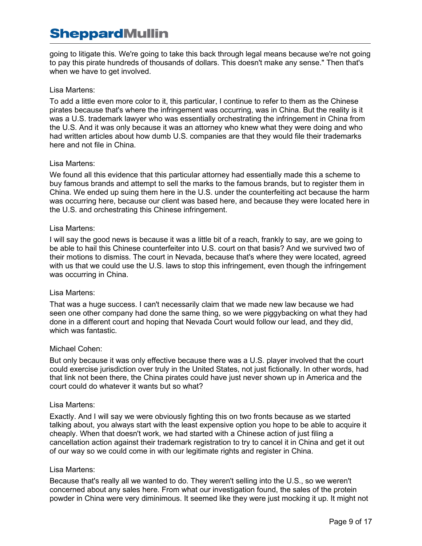going to litigate this. We're going to take this back through legal means because we're not going to pay this pirate hundreds of thousands of dollars. This doesn't make any sense." Then that's when we have to get involved.

# Lisa Martens:

To add a little even more color to it, this particular, I continue to refer to them as the Chinese pirates because that's where the infringement was occurring, was in China. But the reality is it was a U.S. trademark lawyer who was essentially orchestrating the infringement in China from the U.S. And it was only because it was an attorney who knew what they were doing and who had written articles about how dumb U.S. companies are that they would file their trademarks here and not file in China.

# Lisa Martens:

We found all this evidence that this particular attorney had essentially made this a scheme to buy famous brands and attempt to sell the marks to the famous brands, but to register them in China. We ended up suing them here in the U.S. under the counterfeiting act because the harm was occurring here, because our client was based here, and because they were located here in the U.S. and orchestrating this Chinese infringement.

# Lisa Martens:

I will say the good news is because it was a little bit of a reach, frankly to say, are we going to be able to hail this Chinese counterfeiter into U.S. court on that basis? And we survived two of their motions to dismiss. The court in Nevada, because that's where they were located, agreed with us that we could use the U.S. laws to stop this infringement, even though the infringement was occurring in China.

# Lisa Martens:

That was a huge success. I can't necessarily claim that we made new law because we had seen one other company had done the same thing, so we were piggybacking on what they had done in a different court and hoping that Nevada Court would follow our lead, and they did, which was fantastic.

# Michael Cohen:

But only because it was only effective because there was a U.S. player involved that the court could exercise jurisdiction over truly in the United States, not just fictionally. In other words, had that link not been there, the China pirates could have just never shown up in America and the court could do whatever it wants but so what?

# Lisa Martens:

Exactly. And I will say we were obviously fighting this on two fronts because as we started talking about, you always start with the least expensive option you hope to be able to acquire it cheaply. When that doesn't work, we had started with a Chinese action of just filing a cancellation action against their trademark registration to try to cancel it in China and get it out of our way so we could come in with our legitimate rights and register in China.

# Lisa Martens:

Because that's really all we wanted to do. They weren't selling into the U.S., so we weren't concerned about any sales here. From what our investigation found, the sales of the protein powder in China were very diminimous. It seemed like they were just mocking it up. It might not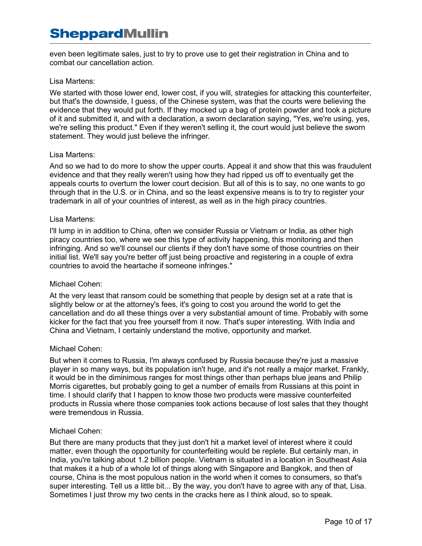even been legitimate sales, just to try to prove use to get their registration in China and to combat our cancellation action.

# Lisa Martens:

We started with those lower end, lower cost, if you will, strategies for attacking this counterfeiter, but that's the downside, I guess, of the Chinese system, was that the courts were believing the evidence that they would put forth. If they mocked up a bag of protein powder and took a picture of it and submitted it, and with a declaration, a sworn declaration saying, "Yes, we're using, yes, we're selling this product." Even if they weren't selling it, the court would just believe the sworn statement. They would just believe the infringer.

# Lisa Martens:

And so we had to do more to show the upper courts. Appeal it and show that this was fraudulent evidence and that they really weren't using how they had ripped us off to eventually get the appeals courts to overturn the lower court decision. But all of this is to say, no one wants to go through that in the U.S. or in China, and so the least expensive means is to try to register your trademark in all of your countries of interest, as well as in the high piracy countries.

# Lisa Martens:

I'll lump in in addition to China, often we consider Russia or Vietnam or India, as other high piracy countries too, where we see this type of activity happening, this monitoring and then infringing. And so we'll counsel our clients if they don't have some of those countries on their initial list. We'll say you're better off just being proactive and registering in a couple of extra countries to avoid the heartache if someone infringes."

# Michael Cohen:

At the very least that ransom could be something that people by design set at a rate that is slightly below or at the attorney's fees, it's going to cost you around the world to get the cancellation and do all these things over a very substantial amount of time. Probably with some kicker for the fact that you free yourself from it now. That's super interesting. With India and China and Vietnam, I certainly understand the motive, opportunity and market.

# Michael Cohen:

But when it comes to Russia, I'm always confused by Russia because they're just a massive player in so many ways, but its population isn't huge, and it's not really a major market. Frankly, it would be in the diminimous ranges for most things other than perhaps blue jeans and Philip Morris cigarettes, but probably going to get a number of emails from Russians at this point in time. I should clarify that I happen to know those two products were massive counterfeited products in Russia where those companies took actions because of lost sales that they thought were tremendous in Russia.

# Michael Cohen:

But there are many products that they just don't hit a market level of interest where it could matter, even though the opportunity for counterfeiting would be replete. But certainly man, in India, you're talking about 1.2 billion people. Vietnam is situated in a location in Southeast Asia that makes it a hub of a whole lot of things along with Singapore and Bangkok, and then of course, China is the most populous nation in the world when it comes to consumers, so that's super interesting. Tell us a little bit... By the way, you don't have to agree with any of that, Lisa. Sometimes I just throw my two cents in the cracks here as I think aloud, so to speak.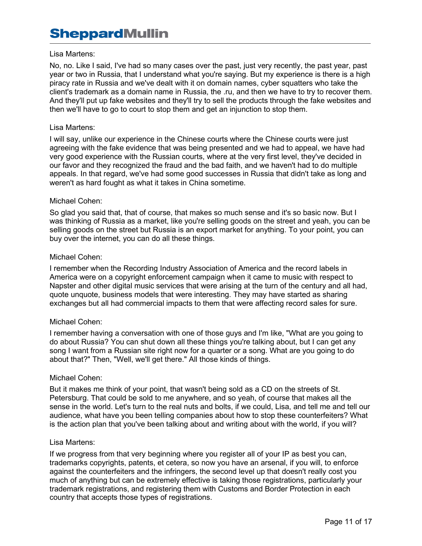#### Lisa Martens:

No, no. Like I said, I've had so many cases over the past, just very recently, the past year, past year or two in Russia, that I understand what you're saying. But my experience is there is a high piracy rate in Russia and we've dealt with it on domain names, cyber squatters who take the client's trademark as a domain name in Russia, the .ru, and then we have to try to recover them. And they'll put up fake websites and they'll try to sell the products through the fake websites and then we'll have to go to court to stop them and get an injunction to stop them.

#### Lisa Martens:

I will say, unlike our experience in the Chinese courts where the Chinese courts were just agreeing with the fake evidence that was being presented and we had to appeal, we have had very good experience with the Russian courts, where at the very first level, they've decided in our favor and they recognized the fraud and the bad faith, and we haven't had to do multiple appeals. In that regard, we've had some good successes in Russia that didn't take as long and weren't as hard fought as what it takes in China sometime.

#### Michael Cohen:

So glad you said that, that of course, that makes so much sense and it's so basic now. But I was thinking of Russia as a market, like you're selling goods on the street and yeah, you can be selling goods on the street but Russia is an export market for anything. To your point, you can buy over the internet, you can do all these things.

#### Michael Cohen:

I remember when the Recording Industry Association of America and the record labels in America were on a copyright enforcement campaign when it came to music with respect to Napster and other digital music services that were arising at the turn of the century and all had, quote unquote, business models that were interesting. They may have started as sharing exchanges but all had commercial impacts to them that were affecting record sales for sure.

# Michael Cohen:

I remember having a conversation with one of those guys and I'm like, "What are you going to do about Russia? You can shut down all these things you're talking about, but I can get any song I want from a Russian site right now for a quarter or a song. What are you going to do about that?" Then, "Well, we'll get there." All those kinds of things.

#### Michael Cohen:

But it makes me think of your point, that wasn't being sold as a CD on the streets of St. Petersburg. That could be sold to me anywhere, and so yeah, of course that makes all the sense in the world. Let's turn to the real nuts and bolts, if we could, Lisa, and tell me and tell our audience, what have you been telling companies about how to stop these counterfeiters? What is the action plan that you've been talking about and writing about with the world, if you will?

#### Lisa Martens:

If we progress from that very beginning where you register all of your IP as best you can, trademarks copyrights, patents, et cetera, so now you have an arsenal, if you will, to enforce against the counterfeiters and the infringers, the second level up that doesn't really cost you much of anything but can be extremely effective is taking those registrations, particularly your trademark registrations, and registering them with Customs and Border Protection in each country that accepts those types of registrations.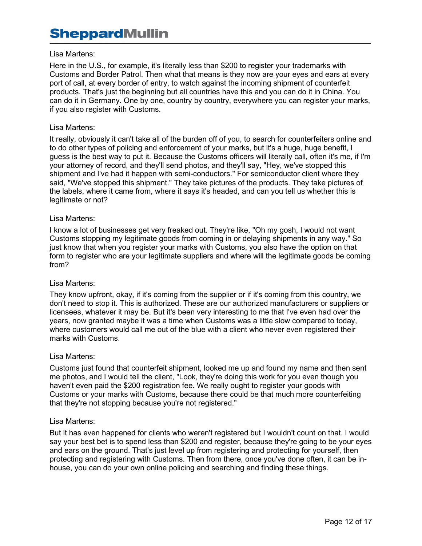# Lisa Martens:

Here in the U.S., for example, it's literally less than \$200 to register your trademarks with Customs and Border Patrol. Then what that means is they now are your eyes and ears at every port of call, at every border of entry, to watch against the incoming shipment of counterfeit products. That's just the beginning but all countries have this and you can do it in China. You can do it in Germany. One by one, country by country, everywhere you can register your marks, if you also register with Customs.

#### Lisa Martens:

It really, obviously it can't take all of the burden off of you, to search for counterfeiters online and to do other types of policing and enforcement of your marks, but it's a huge, huge benefit, I guess is the best way to put it. Because the Customs officers will literally call, often it's me, if I'm your attorney of record, and they'll send photos, and they'll say, "Hey, we've stopped this shipment and I've had it happen with semi-conductors." For semiconductor client where they said, "We've stopped this shipment." They take pictures of the products. They take pictures of the labels, where it came from, where it says it's headed, and can you tell us whether this is legitimate or not?

#### Lisa Martens:

I know a lot of businesses get very freaked out. They're like, "Oh my gosh, I would not want Customs stopping my legitimate goods from coming in or delaying shipments in any way." So just know that when you register your marks with Customs, you also have the option on that form to register who are your legitimate suppliers and where will the legitimate goods be coming from?

#### Lisa Martens:

They know upfront, okay, if it's coming from the supplier or if it's coming from this country, we don't need to stop it. This is authorized. These are our authorized manufacturers or suppliers or licensees, whatever it may be. But it's been very interesting to me that I've even had over the years, now granted maybe it was a time when Customs was a little slow compared to today, where customers would call me out of the blue with a client who never even registered their marks with Customs.

#### Lisa Martens:

Customs just found that counterfeit shipment, looked me up and found my name and then sent me photos, and I would tell the client, "Look, they're doing this work for you even though you haven't even paid the \$200 registration fee. We really ought to register your goods with Customs or your marks with Customs, because there could be that much more counterfeiting that they're not stopping because you're not registered."

#### Lisa Martens:

But it has even happened for clients who weren't registered but I wouldn't count on that. I would say your best bet is to spend less than \$200 and register, because they're going to be your eyes and ears on the ground. That's just level up from registering and protecting for yourself, then protecting and registering with Customs. Then from there, once you've done often, it can be inhouse, you can do your own online policing and searching and finding these things.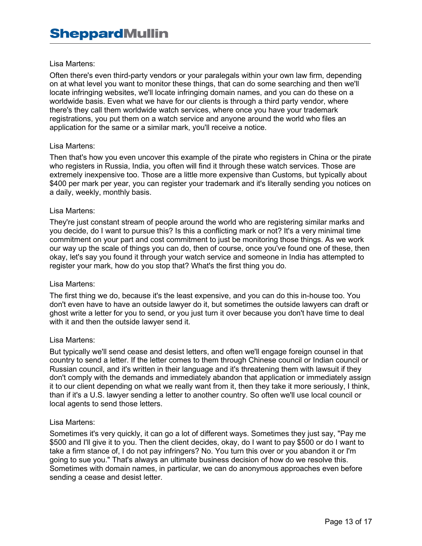Often there's even third-party vendors or your paralegals within your own law firm, depending on at what level you want to monitor these things, that can do some searching and then we'll locate infringing websites, we'll locate infringing domain names, and you can do these on a worldwide basis. Even what we have for our clients is through a third party vendor, where there's they call them worldwide watch services, where once you have your trademark registrations, you put them on a watch service and anyone around the world who files an application for the same or a similar mark, you'll receive a notice.

#### Lisa Martens:

Then that's how you even uncover this example of the pirate who registers in China or the pirate who registers in Russia, India, you often will find it through these watch services. Those are extremely inexpensive too. Those are a little more expensive than Customs, but typically about \$400 per mark per year, you can register your trademark and it's literally sending you notices on a daily, weekly, monthly basis.

#### Lisa Martens:

They're just constant stream of people around the world who are registering similar marks and you decide, do I want to pursue this? Is this a conflicting mark or not? It's a very minimal time commitment on your part and cost commitment to just be monitoring those things. As we work our way up the scale of things you can do, then of course, once you've found one of these, then okay, let's say you found it through your watch service and someone in India has attempted to register your mark, how do you stop that? What's the first thing you do.

#### Lisa Martens:

The first thing we do, because it's the least expensive, and you can do this in-house too. You don't even have to have an outside lawyer do it, but sometimes the outside lawyers can draft or ghost write a letter for you to send, or you just turn it over because you don't have time to deal with it and then the outside lawyer send it.

#### Lisa Martens:

But typically we'll send cease and desist letters, and often we'll engage foreign counsel in that country to send a letter. If the letter comes to them through Chinese council or Indian council or Russian council, and it's written in their language and it's threatening them with lawsuit if they don't comply with the demands and immediately abandon that application or immediately assign it to our client depending on what we really want from it, then they take it more seriously, I think, than if it's a U.S. lawyer sending a letter to another country. So often we'll use local council or local agents to send those letters.

#### Lisa Martens:

Sometimes it's very quickly, it can go a lot of different ways. Sometimes they just say, "Pay me \$500 and I'll give it to you. Then the client decides, okay, do I want to pay \$500 or do I want to take a firm stance of, I do not pay infringers? No. You turn this over or you abandon it or I'm going to sue you." That's always an ultimate business decision of how do we resolve this. Sometimes with domain names, in particular, we can do anonymous approaches even before sending a cease and desist letter.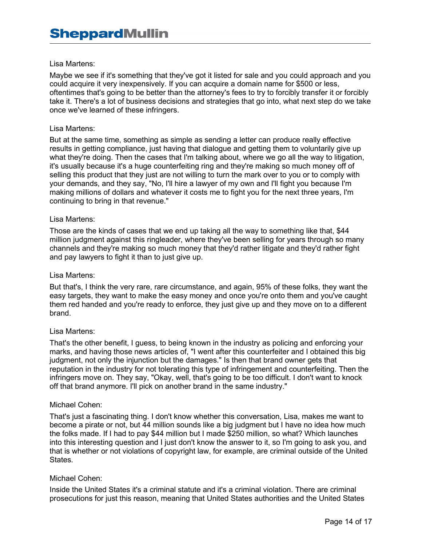Maybe we see if it's something that they've got it listed for sale and you could approach and you could acquire it very inexpensively. If you can acquire a domain name for \$500 or less, oftentimes that's going to be better than the attorney's fees to try to forcibly transfer it or forcibly take it. There's a lot of business decisions and strategies that go into, what next step do we take once we've learned of these infringers.

# Lisa Martens:

But at the same time, something as simple as sending a letter can produce really effective results in getting compliance, just having that dialogue and getting them to voluntarily give up what they're doing. Then the cases that I'm talking about, where we go all the way to litigation, it's usually because it's a huge counterfeiting ring and they're making so much money off of selling this product that they just are not willing to turn the mark over to you or to comply with your demands, and they say, "No, I'll hire a lawyer of my own and I'll fight you because I'm making millions of dollars and whatever it costs me to fight you for the next three years, I'm continuing to bring in that revenue."

#### Lisa Martens:

Those are the kinds of cases that we end up taking all the way to something like that, \$44 million judgment against this ringleader, where they've been selling for years through so many channels and they're making so much money that they'd rather litigate and they'd rather fight and pay lawyers to fight it than to just give up.

#### Lisa Martens:

But that's, I think the very rare, rare circumstance, and again, 95% of these folks, they want the easy targets, they want to make the easy money and once you're onto them and you've caught them red handed and you're ready to enforce, they just give up and they move on to a different brand.

#### Lisa Martens:

That's the other benefit, I guess, to being known in the industry as policing and enforcing your marks, and having those news articles of, "I went after this counterfeiter and I obtained this big judgment, not only the injunction but the damages." Is then that brand owner gets that reputation in the industry for not tolerating this type of infringement and counterfeiting. Then the infringers move on. They say, "Okay, well, that's going to be too difficult. I don't want to knock off that brand anymore. I'll pick on another brand in the same industry."

#### Michael Cohen:

That's just a fascinating thing. I don't know whether this conversation, Lisa, makes me want to become a pirate or not, but 44 million sounds like a big judgment but I have no idea how much the folks made. If I had to pay \$44 million but I made \$250 million, so what? Which launches into this interesting question and I just don't know the answer to it, so I'm going to ask you, and that is whether or not violations of copyright law, for example, are criminal outside of the United States.

#### Michael Cohen:

Inside the United States it's a criminal statute and it's a criminal violation. There are criminal prosecutions for just this reason, meaning that United States authorities and the United States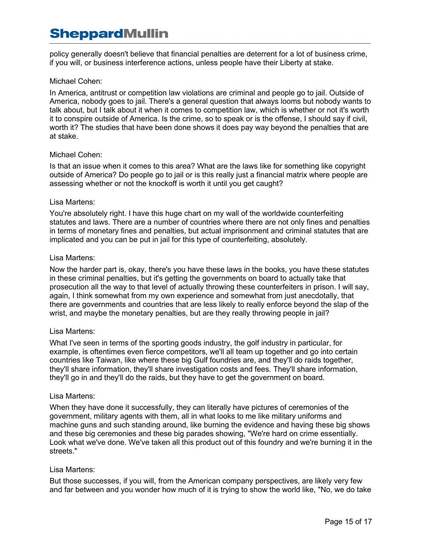policy generally doesn't believe that financial penalties are deterrent for a lot of business crime, if you will, or business interference actions, unless people have their Liberty at stake.

# Michael Cohen:

In America, antitrust or competition law violations are criminal and people go to jail. Outside of America, nobody goes to jail. There's a general question that always looms but nobody wants to talk about, but I talk about it when it comes to competition law, which is whether or not it's worth it to conspire outside of America. Is the crime, so to speak or is the offense, I should say if civil, worth it? The studies that have been done shows it does pay way beyond the penalties that are at stake.

# Michael Cohen:

Is that an issue when it comes to this area? What are the laws like for something like copyright outside of America? Do people go to jail or is this really just a financial matrix where people are assessing whether or not the knockoff is worth it until you get caught?

# Lisa Martens:

You're absolutely right. I have this huge chart on my wall of the worldwide counterfeiting statutes and laws. There are a number of countries where there are not only fines and penalties in terms of monetary fines and penalties, but actual imprisonment and criminal statutes that are implicated and you can be put in jail for this type of counterfeiting, absolutely.

# Lisa Martens:

Now the harder part is, okay, there's you have these laws in the books, you have these statutes in these criminal penalties, but it's getting the governments on board to actually take that prosecution all the way to that level of actually throwing these counterfeiters in prison. I will say, again, I think somewhat from my own experience and somewhat from just anecdotally, that there are governments and countries that are less likely to really enforce beyond the slap of the wrist, and maybe the monetary penalties, but are they really throwing people in jail?

# Lisa Martens:

What I've seen in terms of the sporting goods industry, the golf industry in particular, for example, is oftentimes even fierce competitors, we'll all team up together and go into certain countries like Taiwan, like where these big Gulf foundries are, and they'll do raids together, they'll share information, they'll share investigation costs and fees. They'll share information, they'll go in and they'll do the raids, but they have to get the government on board.

# Lisa Martens:

When they have done it successfully, they can literally have pictures of ceremonies of the government, military agents with them, all in what looks to me like military uniforms and machine guns and such standing around, like burning the evidence and having these big shows and these big ceremonies and these big parades showing, "We're hard on crime essentially. Look what we've done. We've taken all this product out of this foundry and we're burning it in the streets."

# Lisa Martens:

But those successes, if you will, from the American company perspectives, are likely very few and far between and you wonder how much of it is trying to show the world like, "No, we do take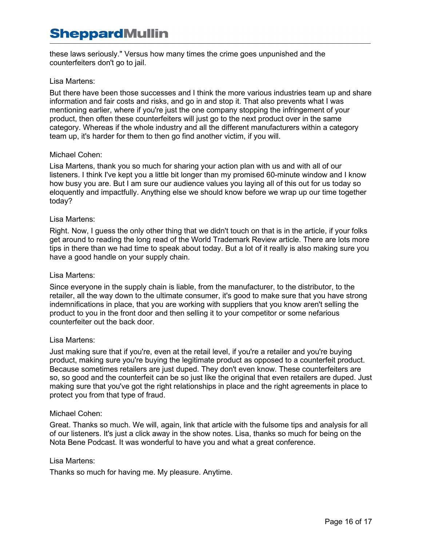these laws seriously." Versus how many times the crime goes unpunished and the counterfeiters don't go to jail.

# Lisa Martens:

But there have been those successes and I think the more various industries team up and share information and fair costs and risks, and go in and stop it. That also prevents what I was mentioning earlier, where if you're just the one company stopping the infringement of your product, then often these counterfeiters will just go to the next product over in the same category. Whereas if the whole industry and all the different manufacturers within a category team up, it's harder for them to then go find another victim, if you will.

#### Michael Cohen:

Lisa Martens, thank you so much for sharing your action plan with us and with all of our listeners. I think I've kept you a little bit longer than my promised 60-minute window and I know how busy you are. But I am sure our audience values you laying all of this out for us today so eloquently and impactfully. Anything else we should know before we wrap up our time together today?

#### Lisa Martens:

Right. Now, I guess the only other thing that we didn't touch on that is in the article, if your folks get around to reading the long read of the World Trademark Review article. There are lots more tips in there than we had time to speak about today. But a lot of it really is also making sure you have a good handle on your supply chain.

#### Lisa Martens:

Since everyone in the supply chain is liable, from the manufacturer, to the distributor, to the retailer, all the way down to the ultimate consumer, it's good to make sure that you have strong indemnifications in place, that you are working with suppliers that you know aren't selling the product to you in the front door and then selling it to your competitor or some nefarious counterfeiter out the back door.

#### Lisa Martens:

Just making sure that if you're, even at the retail level, if you're a retailer and you're buying product, making sure you're buying the legitimate product as opposed to a counterfeit product. Because sometimes retailers are just duped. They don't even know. These counterfeiters are so, so good and the counterfeit can be so just like the original that even retailers are duped. Just making sure that you've got the right relationships in place and the right agreements in place to protect you from that type of fraud.

#### Michael Cohen:

Great. Thanks so much. We will, again, link that article with the fulsome tips and analysis for all of our listeners. It's just a click away in the show notes. Lisa, thanks so much for being on the Nota Bene Podcast. It was wonderful to have you and what a great conference.

#### Lisa Martens:

Thanks so much for having me. My pleasure. Anytime.